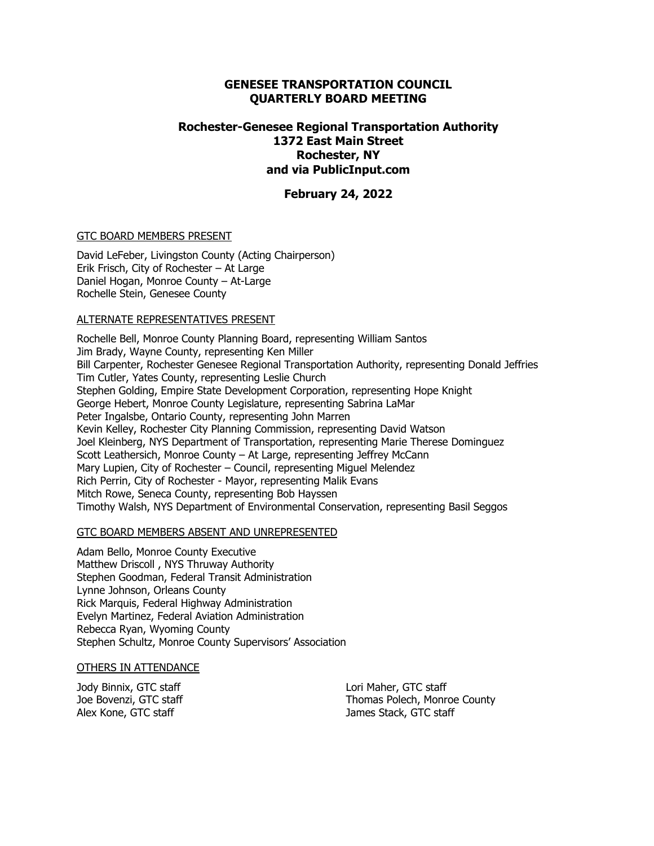#### **GENESEE TRANSPORTATION COUNCIL QUARTERLY BOARD MEETING**

## **Rochester-Genesee Regional Transportation Authority 1372 East Main Street Rochester, NY and via PublicInput.com**

#### **February 24, 2022**

#### GTC BOARD MEMBERS PRESENT

David LeFeber, Livingston County (Acting Chairperson) Erik Frisch, City of Rochester – At Large Daniel Hogan, Monroe County – At-Large Rochelle Stein, Genesee County

#### ALTERNATE REPRESENTATIVES PRESENT

Rochelle Bell, Monroe County Planning Board, representing William Santos Jim Brady, Wayne County, representing Ken Miller Bill Carpenter, Rochester Genesee Regional Transportation Authority, representing Donald Jeffries Tim Cutler, Yates County, representing Leslie Church Stephen Golding, Empire State Development Corporation, representing Hope Knight George Hebert, Monroe County Legislature, representing Sabrina LaMar Peter Ingalsbe, Ontario County, representing John Marren Kevin Kelley, Rochester City Planning Commission, representing David Watson Joel Kleinberg, NYS Department of Transportation, representing Marie Therese Dominguez Scott Leathersich, Monroe County – At Large, representing Jeffrey McCann Mary Lupien, City of Rochester – Council, representing Miguel Melendez Rich Perrin, City of Rochester - Mayor, representing Malik Evans Mitch Rowe, Seneca County, representing Bob Hayssen Timothy Walsh, NYS Department of Environmental Conservation, representing Basil Seggos

#### GTC BOARD MEMBERS ABSENT AND UNREPRESENTED

Adam Bello, Monroe County Executive Matthew Driscoll , NYS Thruway Authority Stephen Goodman, Federal Transit Administration Lynne Johnson, Orleans County Rick Marquis, Federal Highway Administration Evelyn Martinez, Federal Aviation Administration Rebecca Ryan, Wyoming County Stephen Schultz, Monroe County Supervisors' Association

#### OTHERS IN ATTENDANCE

Jody Binnix, GTC staff Joe Bovenzi, GTC staff Alex Kone, GTC staff

Lori Maher, GTC staff Thomas Polech, Monroe County James Stack, GTC staff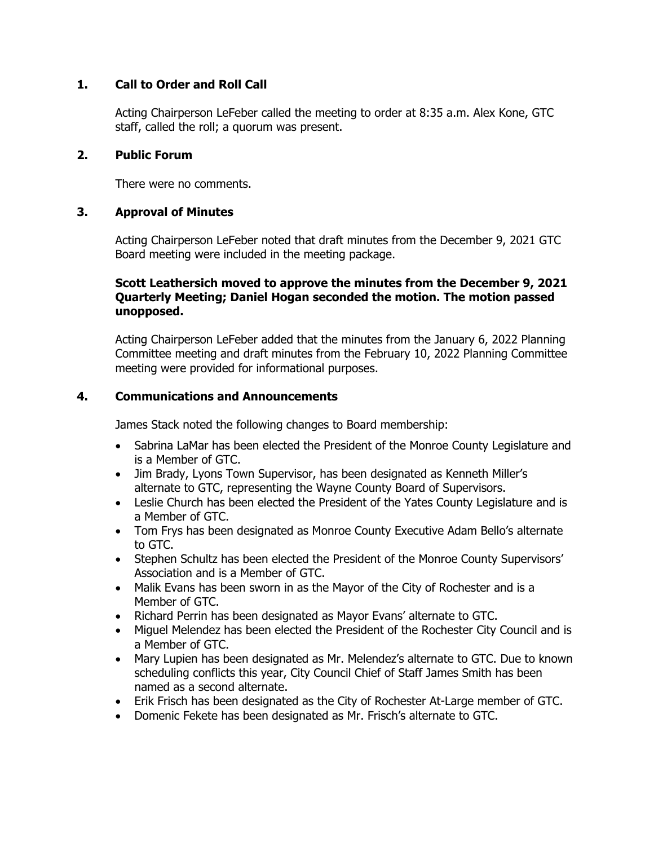# **1. Call to Order and Roll Call**

Acting Chairperson LeFeber called the meeting to order at 8:35 a.m. Alex Kone, GTC staff, called the roll; a quorum was present.

## **2. Public Forum**

There were no comments.

# **3. Approval of Minutes**

Acting Chairperson LeFeber noted that draft minutes from the December 9, 2021 GTC Board meeting were included in the meeting package.

# **Scott Leathersich moved to approve the minutes from the December 9, 2021 Quarterly Meeting; Daniel Hogan seconded the motion. The motion passed unopposed.**

Acting Chairperson LeFeber added that the minutes from the January 6, 2022 Planning Committee meeting and draft minutes from the February 10, 2022 Planning Committee meeting were provided for informational purposes.

# **4. Communications and Announcements**

James Stack noted the following changes to Board membership:

- Sabrina LaMar has been elected the President of the Monroe County Legislature and is a Member of GTC.
- Jim Brady, Lyons Town Supervisor, has been designated as Kenneth Miller's alternate to GTC, representing the Wayne County Board of Supervisors.
- Leslie Church has been elected the President of the Yates County Legislature and is a Member of GTC.
- Tom Frys has been designated as Monroe County Executive Adam Bello's alternate to GTC.
- Stephen Schultz has been elected the President of the Monroe County Supervisors' Association and is a Member of GTC.
- Malik Evans has been sworn in as the Mayor of the City of Rochester and is a Member of GTC.
- Richard Perrin has been designated as Mayor Evans' alternate to GTC.
- Miguel Melendez has been elected the President of the Rochester City Council and is a Member of GTC.
- Mary Lupien has been designated as Mr. Melendez's alternate to GTC. Due to known scheduling conflicts this year, City Council Chief of Staff James Smith has been named as a second alternate.
- Erik Frisch has been designated as the City of Rochester At-Large member of GTC.
- Domenic Fekete has been designated as Mr. Frisch's alternate to GTC.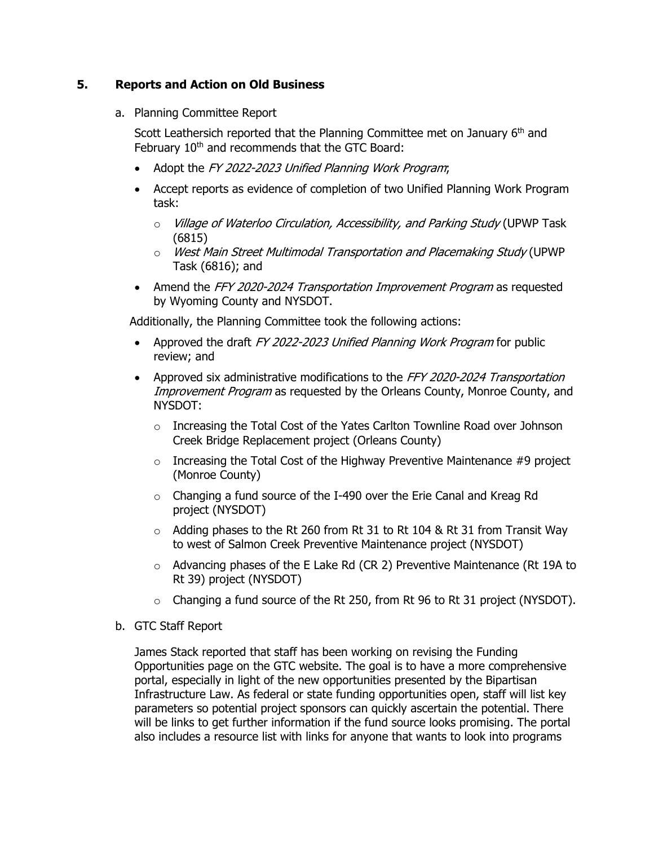# **5. Reports and Action on Old Business**

a. Planning Committee Report

Scott Leathersich reported that the Planning Committee met on January 6<sup>th</sup> and February 10<sup>th</sup> and recommends that the GTC Board:

- Adopt the FY 2022-2023 Unified Planning Work Program;
- Accept reports as evidence of completion of two Unified Planning Work Program task:
	- o Village of Waterloo Circulation, Accessibility, and Parking Study (UPWP Task (6815)
	- o West Main Street Multimodal Transportation and Placemaking Study (UPWP Task (6816); and
- Amend the FFY 2020-2024 Transportation Improvement Program as requested by Wyoming County and NYSDOT.

Additionally, the Planning Committee took the following actions:

- Approved the draft FY 2022-2023 Unified Planning Work Program for public review; and
- Approved six administrative modifications to the FFY 2020-2024 Transportation Improvement Program as requested by the Orleans County, Monroe County, and NYSDOT:
	- $\circ$  Increasing the Total Cost of the Yates Carlton Townline Road over Johnson Creek Bridge Replacement project (Orleans County)
	- $\circ$  Increasing the Total Cost of the Highway Preventive Maintenance #9 project (Monroe County)
	- o Changing a fund source of the I-490 over the Erie Canal and Kreag Rd project (NYSDOT)
	- $\circ$  Adding phases to the Rt 260 from Rt 31 to Rt 104 & Rt 31 from Transit Way to west of Salmon Creek Preventive Maintenance project (NYSDOT)
	- o Advancing phases of the E Lake Rd (CR 2) Preventive Maintenance (Rt 19A to Rt 39) project (NYSDOT)
	- o Changing a fund source of the Rt 250, from Rt 96 to Rt 31 project (NYSDOT).
- b. GTC Staff Report

James Stack reported that staff has been working on revising the Funding Opportunities page on the GTC website. The goal is to have a more comprehensive portal, especially in light of the new opportunities presented by the Bipartisan Infrastructure Law. As federal or state funding opportunities open, staff will list key parameters so potential project sponsors can quickly ascertain the potential. There will be links to get further information if the fund source looks promising. The portal also includes a resource list with links for anyone that wants to look into programs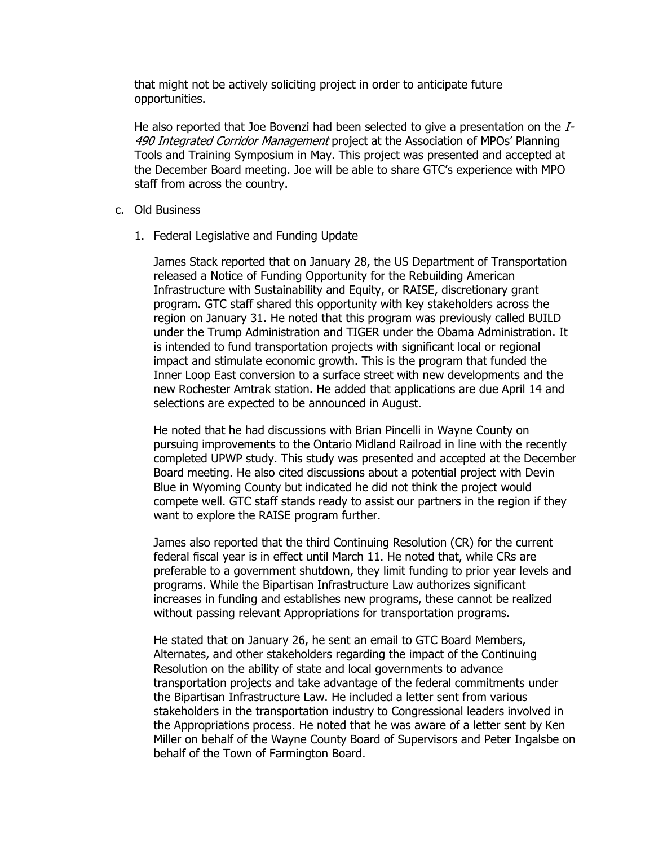that might not be actively soliciting project in order to anticipate future opportunities.

He also reported that Joe Bovenzi had been selected to give a presentation on the  $I$ -490 Integrated Corridor Management project at the Association of MPOs' Planning Tools and Training Symposium in May. This project was presented and accepted at the December Board meeting. Joe will be able to share GTC's experience with MPO staff from across the country.

- c. Old Business
	- 1. Federal Legislative and Funding Update

James Stack reported that on January 28, the US Department of Transportation released a Notice of Funding Opportunity for the Rebuilding American Infrastructure with Sustainability and Equity, or RAISE, discretionary grant program. GTC staff shared this opportunity with key stakeholders across the region on January 31. He noted that this program was previously called BUILD under the Trump Administration and TIGER under the Obama Administration. It is intended to fund transportation projects with significant local or regional impact and stimulate economic growth. This is the program that funded the Inner Loop East conversion to a surface street with new developments and the new Rochester Amtrak station. He added that applications are due April 14 and selections are expected to be announced in August.

He noted that he had discussions with Brian Pincelli in Wayne County on pursuing improvements to the Ontario Midland Railroad in line with the recently completed UPWP study. This study was presented and accepted at the December Board meeting. He also cited discussions about a potential project with Devin Blue in Wyoming County but indicated he did not think the project would compete well. GTC staff stands ready to assist our partners in the region if they want to explore the RAISE program further.

James also reported that the third Continuing Resolution (CR) for the current federal fiscal year is in effect until March 11. He noted that, while CRs are preferable to a government shutdown, they limit funding to prior year levels and programs. While the Bipartisan Infrastructure Law authorizes significant increases in funding and establishes new programs, these cannot be realized without passing relevant Appropriations for transportation programs.

He stated that on January 26, he sent an email to GTC Board Members, Alternates, and other stakeholders regarding the impact of the Continuing Resolution on the ability of state and local governments to advance transportation projects and take advantage of the federal commitments under the Bipartisan Infrastructure Law. He included a letter sent from various stakeholders in the transportation industry to Congressional leaders involved in the Appropriations process. He noted that he was aware of a letter sent by Ken Miller on behalf of the Wayne County Board of Supervisors and Peter Ingalsbe on behalf of the Town of Farmington Board.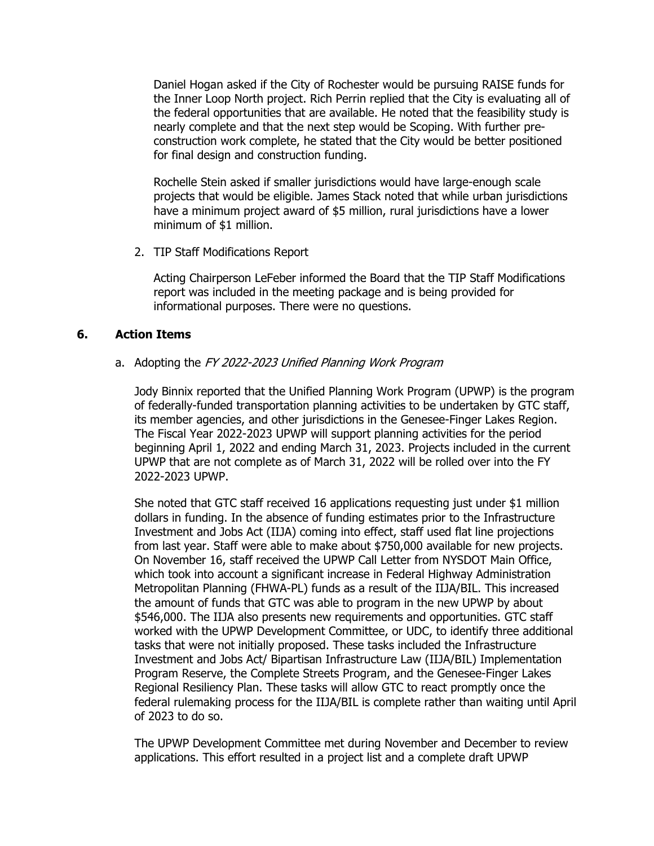Daniel Hogan asked if the City of Rochester would be pursuing RAISE funds for the Inner Loop North project. Rich Perrin replied that the City is evaluating all of the federal opportunities that are available. He noted that the feasibility study is nearly complete and that the next step would be Scoping. With further preconstruction work complete, he stated that the City would be better positioned for final design and construction funding.

Rochelle Stein asked if smaller jurisdictions would have large-enough scale projects that would be eligible. James Stack noted that while urban jurisdictions have a minimum project award of \$5 million, rural jurisdictions have a lower minimum of \$1 million.

2. TIP Staff Modifications Report

Acting Chairperson LeFeber informed the Board that the TIP Staff Modifications report was included in the meeting package and is being provided for informational purposes. There were no questions.

# **6. Action Items**

## a. Adopting the FY 2022-2023 Unified Planning Work Program

Jody Binnix reported that the Unified Planning Work Program (UPWP) is the program of federally-funded transportation planning activities to be undertaken by GTC staff, its member agencies, and other jurisdictions in the Genesee-Finger Lakes Region. The Fiscal Year 2022-2023 UPWP will support planning activities for the period beginning April 1, 2022 and ending March 31, 2023. Projects included in the current UPWP that are not complete as of March 31, 2022 will be rolled over into the FY 2022-2023 UPWP.

She noted that GTC staff received 16 applications requesting just under \$1 million dollars in funding. In the absence of funding estimates prior to the Infrastructure Investment and Jobs Act (IIJA) coming into effect, staff used flat line projections from last year. Staff were able to make about \$750,000 available for new projects. On November 16, staff received the UPWP Call Letter from NYSDOT Main Office, which took into account a significant increase in Federal Highway Administration Metropolitan Planning (FHWA-PL) funds as a result of the IIJA/BIL. This increased the amount of funds that GTC was able to program in the new UPWP by about \$546,000. The IIJA also presents new requirements and opportunities. GTC staff worked with the UPWP Development Committee, or UDC, to identify three additional tasks that were not initially proposed. These tasks included the Infrastructure Investment and Jobs Act/ Bipartisan Infrastructure Law (IIJA/BIL) Implementation Program Reserve, the Complete Streets Program, and the Genesee-Finger Lakes Regional Resiliency Plan. These tasks will allow GTC to react promptly once the federal rulemaking process for the IIJA/BIL is complete rather than waiting until April of 2023 to do so.

The UPWP Development Committee met during November and December to review applications. This effort resulted in a project list and a complete draft UPWP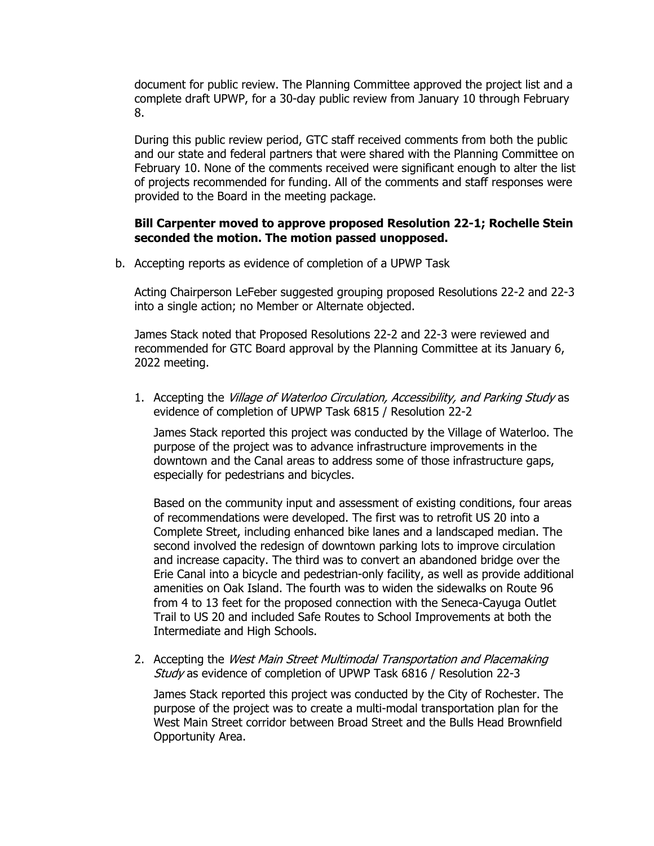document for public review. The Planning Committee approved the project list and a complete draft UPWP, for a 30-day public review from January 10 through February 8.

During this public review period, GTC staff received comments from both the public and our state and federal partners that were shared with the Planning Committee on February 10. None of the comments received were significant enough to alter the list of projects recommended for funding. All of the comments and staff responses were provided to the Board in the meeting package.

# **Bill Carpenter moved to approve proposed Resolution 22-1; Rochelle Stein seconded the motion. The motion passed unopposed.**

b. Accepting reports as evidence of completion of a UPWP Task

Acting Chairperson LeFeber suggested grouping proposed Resolutions 22-2 and 22-3 into a single action; no Member or Alternate objected.

James Stack noted that Proposed Resolutions 22-2 and 22-3 were reviewed and recommended for GTC Board approval by the Planning Committee at its January 6, 2022 meeting.

1. Accepting the Village of Waterloo Circulation, Accessibility, and Parking Study as evidence of completion of UPWP Task 6815 / Resolution 22-2

James Stack reported this project was conducted by the Village of Waterloo. The purpose of the project was to advance infrastructure improvements in the downtown and the Canal areas to address some of those infrastructure gaps, especially for pedestrians and bicycles.

Based on the community input and assessment of existing conditions, four areas of recommendations were developed. The first was to retrofit US 20 into a Complete Street, including enhanced bike lanes and a landscaped median. The second involved the redesign of downtown parking lots to improve circulation and increase capacity. The third was to convert an abandoned bridge over the Erie Canal into a bicycle and pedestrian-only facility, as well as provide additional amenities on Oak Island. The fourth was to widen the sidewalks on Route 96 from 4 to 13 feet for the proposed connection with the Seneca-Cayuga Outlet Trail to US 20 and included Safe Routes to School Improvements at both the Intermediate and High Schools.

2. Accepting the West Main Street Multimodal Transportation and Placemaking Study as evidence of completion of UPWP Task 6816 / Resolution 22-3

James Stack reported this project was conducted by the City of Rochester. The purpose of the project was to create a multi-modal transportation plan for the West Main Street corridor between Broad Street and the Bulls Head Brownfield Opportunity Area.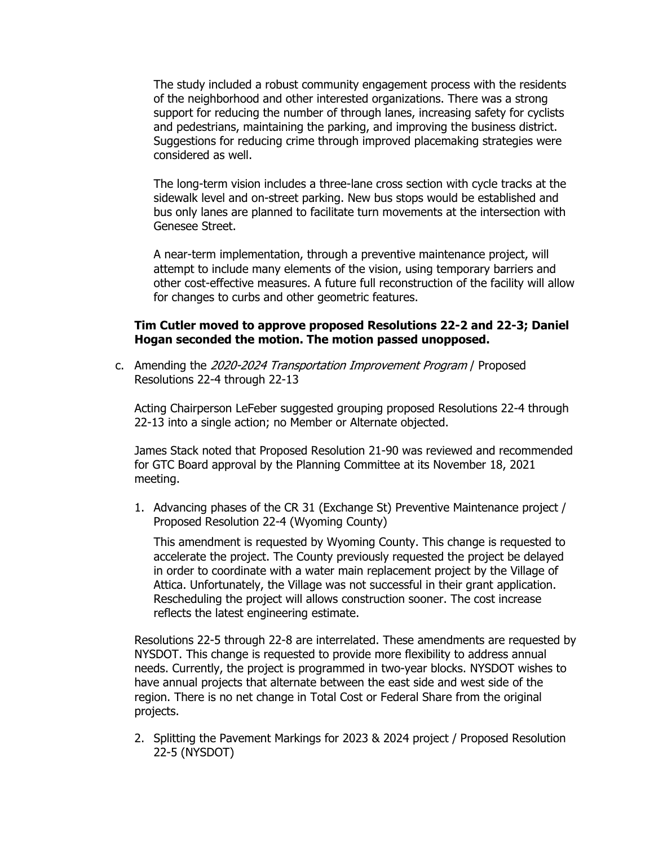The study included a robust community engagement process with the residents of the neighborhood and other interested organizations. There was a strong support for reducing the number of through lanes, increasing safety for cyclists and pedestrians, maintaining the parking, and improving the business district. Suggestions for reducing crime through improved placemaking strategies were considered as well.

The long-term vision includes a three-lane cross section with cycle tracks at the sidewalk level and on-street parking. New bus stops would be established and bus only lanes are planned to facilitate turn movements at the intersection with Genesee Street.

A near-term implementation, through a preventive maintenance project, will attempt to include many elements of the vision, using temporary barriers and other cost-effective measures. A future full reconstruction of the facility will allow for changes to curbs and other geometric features.

#### **Tim Cutler moved to approve proposed Resolutions 22-2 and 22-3; Daniel Hogan seconded the motion. The motion passed unopposed.**

c. Amending the 2020-2024 Transportation Improvement Program / Proposed Resolutions 22-4 through 22-13

Acting Chairperson LeFeber suggested grouping proposed Resolutions 22-4 through 22-13 into a single action; no Member or Alternate objected.

James Stack noted that Proposed Resolution 21-90 was reviewed and recommended for GTC Board approval by the Planning Committee at its November 18, 2021 meeting.

1. Advancing phases of the CR 31 (Exchange St) Preventive Maintenance project / Proposed Resolution 22-4 (Wyoming County)

This amendment is requested by Wyoming County. This change is requested to accelerate the project. The County previously requested the project be delayed in order to coordinate with a water main replacement project by the Village of Attica. Unfortunately, the Village was not successful in their grant application. Rescheduling the project will allows construction sooner. The cost increase reflects the latest engineering estimate.

Resolutions 22-5 through 22-8 are interrelated. These amendments are requested by NYSDOT. This change is requested to provide more flexibility to address annual needs. Currently, the project is programmed in two-year blocks. NYSDOT wishes to have annual projects that alternate between the east side and west side of the region. There is no net change in Total Cost or Federal Share from the original projects.

2. Splitting the Pavement Markings for 2023 & 2024 project / Proposed Resolution 22-5 (NYSDOT)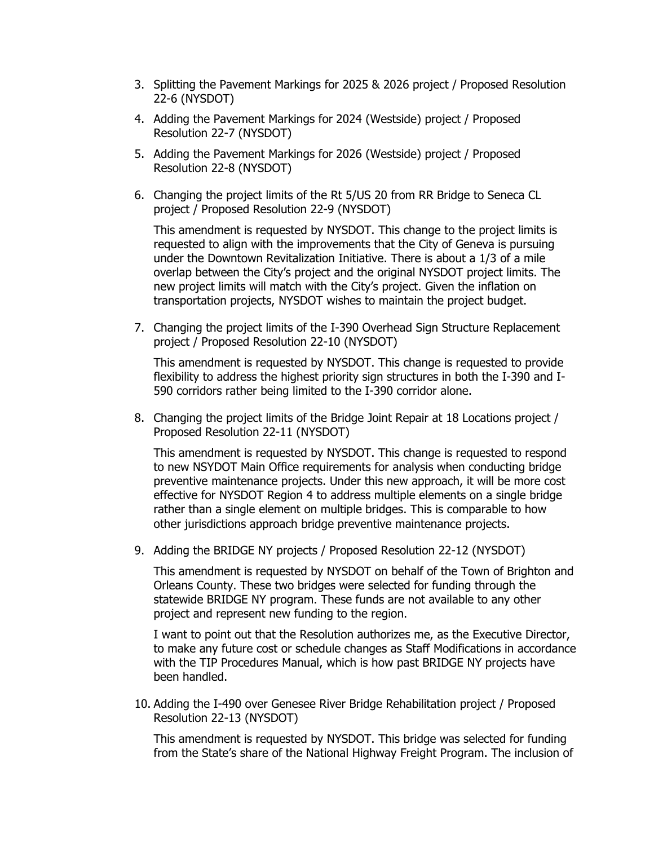- 3. Splitting the Pavement Markings for 2025 & 2026 project / Proposed Resolution 22-6 (NYSDOT)
- 4. Adding the Pavement Markings for 2024 (Westside) project / Proposed Resolution 22-7 (NYSDOT)
- 5. Adding the Pavement Markings for 2026 (Westside) project / Proposed Resolution 22-8 (NYSDOT)
- 6. Changing the project limits of the Rt 5/US 20 from RR Bridge to Seneca CL project / Proposed Resolution 22-9 (NYSDOT)

This amendment is requested by NYSDOT. This change to the project limits is requested to align with the improvements that the City of Geneva is pursuing under the Downtown Revitalization Initiative. There is about a 1/3 of a mile overlap between the City's project and the original NYSDOT project limits. The new project limits will match with the City's project. Given the inflation on transportation projects, NYSDOT wishes to maintain the project budget.

7. Changing the project limits of the I-390 Overhead Sign Structure Replacement project / Proposed Resolution 22-10 (NYSDOT)

This amendment is requested by NYSDOT. This change is requested to provide flexibility to address the highest priority sign structures in both the I-390 and I-590 corridors rather being limited to the I-390 corridor alone.

8. Changing the project limits of the Bridge Joint Repair at 18 Locations project / Proposed Resolution 22-11 (NYSDOT)

This amendment is requested by NYSDOT. This change is requested to respond to new NSYDOT Main Office requirements for analysis when conducting bridge preventive maintenance projects. Under this new approach, it will be more cost effective for NYSDOT Region 4 to address multiple elements on a single bridge rather than a single element on multiple bridges. This is comparable to how other jurisdictions approach bridge preventive maintenance projects.

9. Adding the BRIDGE NY projects / Proposed Resolution 22-12 (NYSDOT)

This amendment is requested by NYSDOT on behalf of the Town of Brighton and Orleans County. These two bridges were selected for funding through the statewide BRIDGE NY program. These funds are not available to any other project and represent new funding to the region.

I want to point out that the Resolution authorizes me, as the Executive Director, to make any future cost or schedule changes as Staff Modifications in accordance with the TIP Procedures Manual, which is how past BRIDGE NY projects have been handled.

10. Adding the I-490 over Genesee River Bridge Rehabilitation project / Proposed Resolution 22-13 (NYSDOT)

This amendment is requested by NYSDOT. This bridge was selected for funding from the State's share of the National Highway Freight Program. The inclusion of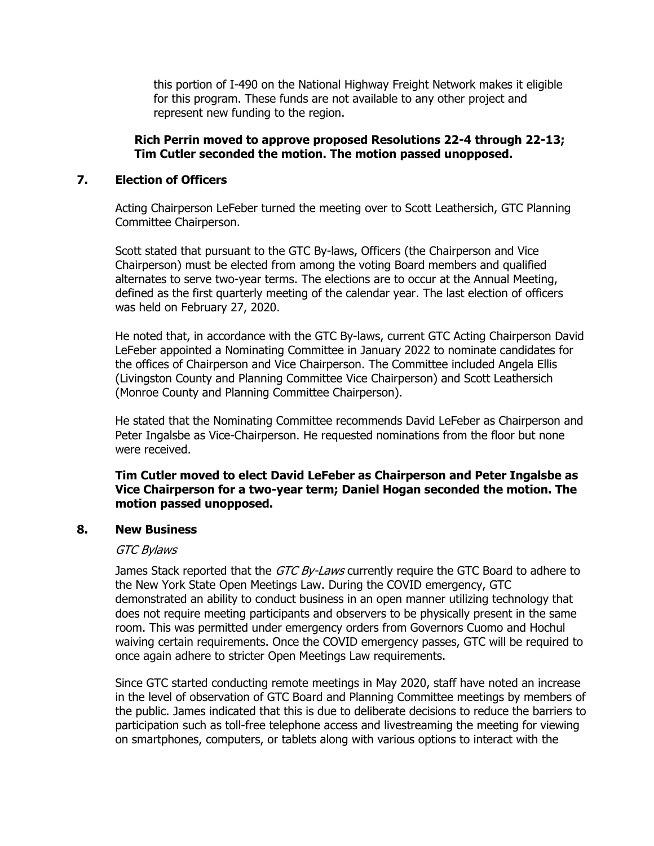this portion of I-490 on the National Highway Freight Network makes it eligible for this program. These funds are not available to any other project and represent new funding to the region.

## **Rich Perrin moved to approve proposed Resolutions 22-4 through 22-13; Tim Cutler seconded the motion. The motion passed unopposed.**

## **7. Election of Officers**

Acting Chairperson LeFeber turned the meeting over to Scott Leathersich, GTC Planning Committee Chairperson.

Scott stated that pursuant to the GTC By-laws, Officers (the Chairperson and Vice Chairperson) must be elected from among the voting Board members and qualified alternates to serve two-year terms. The elections are to occur at the Annual Meeting, defined as the first quarterly meeting of the calendar year. The last election of officers was held on February 27, 2020.

He noted that, in accordance with the GTC By-laws, current GTC Acting Chairperson David LeFeber appointed a Nominating Committee in January 2022 to nominate candidates for the offices of Chairperson and Vice Chairperson. The Committee included Angela Ellis (Livingston County and Planning Committee Vice Chairperson) and Scott Leathersich (Monroe County and Planning Committee Chairperson).

He stated that the Nominating Committee recommends David LeFeber as Chairperson and Peter Ingalsbe as Vice-Chairperson. He requested nominations from the floor but none were received.

## **Tim Cutler moved to elect David LeFeber as Chairperson and Peter Ingalsbe as Vice Chairperson for a two-year term; Daniel Hogan seconded the motion. The motion passed unopposed.**

#### **8. New Business**

#### GTC Bylaws

James Stack reported that the GTC By-Laws currently require the GTC Board to adhere to the New York State Open Meetings Law. During the COVID emergency, GTC demonstrated an ability to conduct business in an open manner utilizing technology that does not require meeting participants and observers to be physically present in the same room. This was permitted under emergency orders from Governors Cuomo and Hochul waiving certain requirements. Once the COVID emergency passes, GTC will be required to once again adhere to stricter Open Meetings Law requirements.

Since GTC started conducting remote meetings in May 2020, staff have noted an increase in the level of observation of GTC Board and Planning Committee meetings by members of the public. James indicated that this is due to deliberate decisions to reduce the barriers to participation such as toll-free telephone access and livestreaming the meeting for viewing on smartphones, computers, or tablets along with various options to interact with the